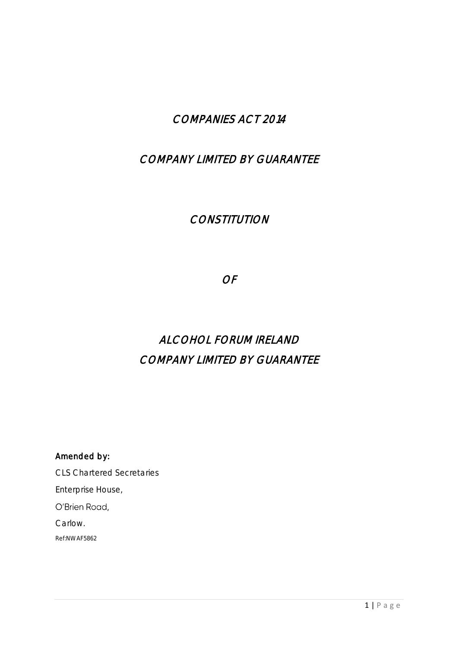# COMPANIES ACT 2014

# COMPANY LIMITED BY GUARANTEE

# **CONSTITUTION**

OF

# ALCOHOL FORUM IRELAND COMPANY LIMITED BY GUARANTEE

Amended by: CLS Chartered Secretaries Enterprise House, O'Brien Road, Carlow.

Ref:NWAF5862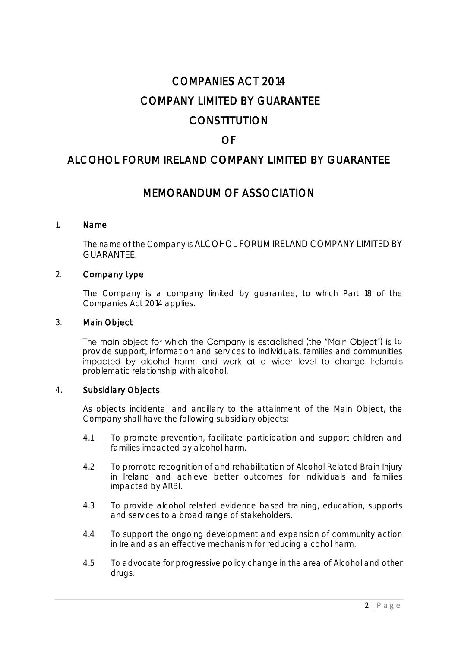# COMPANIES ACT 2014 COMPANY LIMITED BY GUARANTEE **CONSTITUTION**

# OF

# ALCOHOL FORUM IRELAND COMPANY LIMITED BY GUARANTEE

# MEMORANDUM OF ASSOCIATION

#### 1. Name

The name of the Company is ALCOHOL FORUM IRELAND COMPANY LIMITED BY GUARANTEE.

#### 2. Company type

The Company is a company limited by guarantee, to which Part 18 of the Companies Act 2014 applies.

#### 3. Main Object

The main object for which the Company is established (the "Main Object") is to provide support, information and services to individuals, families and communities impacted by alcohol harm, and work at a wider level to change Ireland's problematic relationship with alcohol.

#### 4. Subsidiary Objects

As objects incidental and ancillary to the attainment of the Main Object, the Company shall have the following subsidiary objects:

- 4.1 To promote prevention, facilitate participation and support children and families impacted by alcohol harm.
- 4.2 To promote recognition of and rehabilitation of Alcohol Related Brain Injury in Ireland and achieve better outcomes for individuals and families impacted by ARBI.
- 4.3 To provide alcohol related evidence based training, education, supports and services to a broad range of stakeholders.
- 4.4 To support the ongoing development and expansion of community action in Ireland as an effective mechanism for reducing alcohol harm.
- 4.5 To advocate for progressive policy change in the area of Alcohol and other drugs.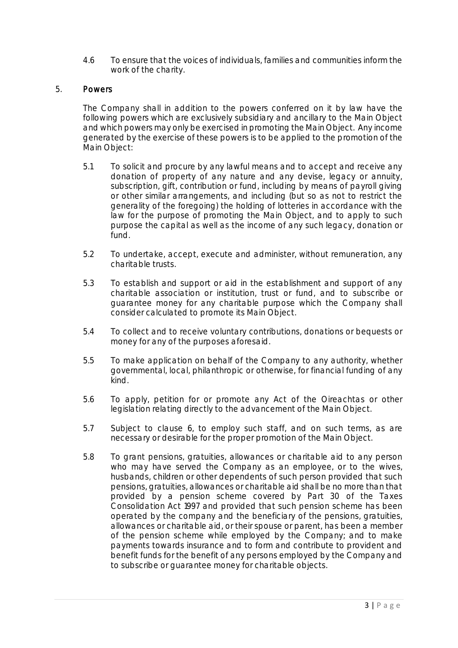4.6 To ensure that the voices of individuals, families and communities inform the work of the charity.

#### 5. Powers

The Company shall in addition to the powers conferred on it by law have the following powers which are exclusively subsidiary and ancillary to the Main Object and which powers may only be exercised in promoting the Main Object. Any income generated by the exercise of these powers is to be applied to the promotion of the Main Object:

- 5.1 To solicit and procure by any lawful means and to accept and receive any donation of property of any nature and any devise, legacy or annuity, subscription, gift, contribution or fund, including by means of payroll giving or other similar arrangements, and including (but so as not to restrict the generality of the foregoing) the holding of lotteries in accordance with the law for the purpose of promoting the Main Object, and to apply to such purpose the capital as well as the income of any such legacy, donation or fund.
- 5.2 To undertake, accept, execute and administer, without remuneration, any charitable trusts.
- 5.3 To establish and support or aid in the establishment and support of any charitable association or institution, trust or fund, and to subscribe or guarantee money for any charitable purpose which the Company shall consider calculated to promote its Main Object.
- 5.4 To collect and to receive voluntary contributions, donations or bequests or money for any of the purposes aforesaid.
- 5.5 To make application on behalf of the Company to any authority, whether governmental, local, philanthropic or otherwise, for financial funding of any kind.
- 5.6 To apply, petition for or promote any Act of the Oireachtas or other legislation relating directly to the advancement of the Main Object.
- 5.7 Subject to clause 6, to employ such staff, and on such terms, as are necessary or desirable for the proper promotion of the Main Object.
- 5.8 To grant pensions, gratuities, allowances or charitable aid to any person who may have served the Company as an employee, or to the wives, husbands, children or other dependents of such person provided that such pensions, gratuities, allowances or charitable aid shall be no more than that provided by a pension scheme covered by Part 30 of the Taxes Consolidation Act 1997 and provided that such pension scheme has been operated by the company and the beneficiary of the pensions, gratuities, allowances or charitable aid, or their spouse or parent, has been a member of the pension scheme while employed by the Company; and to make payments towards insurance and to form and contribute to provident and benefit funds for the benefit of any persons employed by the Company and to subscribe or guarantee money for charitable objects.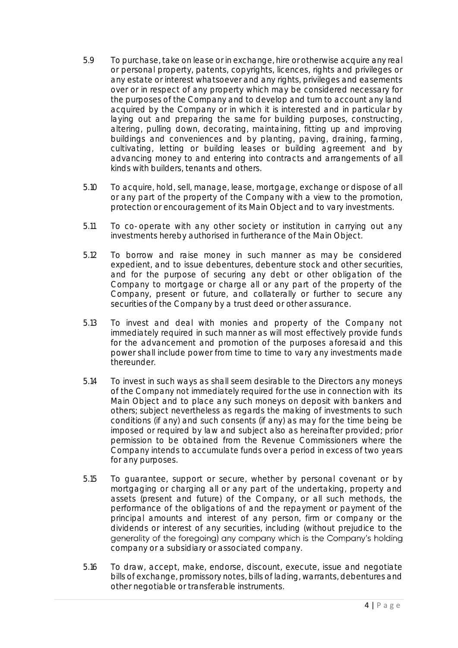- 5.9 To purchase, take on lease or in exchange, hire or otherwise acquire any real or personal property, patents, copyrights, licences, rights and privileges or any estate or interest whatsoever and any rights, privileges and easements over or in respect of any property which may be considered necessary for the purposes of the Company and to develop and turn to account any land acquired by the Company or in which it is interested and in particular by laying out and preparing the same for building purposes, constructing, altering, pulling down, decorating, maintaining, fitting up and improving buildings and conveniences and by planting, paving, draining, farming, cultivating, letting or building leases or building agreement and by advancing money to and entering into contracts and arrangements of all kinds with builders, tenants and others.
- 5.10 To acquire, hold, sell, manage, lease, mortgage, exchange or dispose of all or any part of the property of the Company with a view to the promotion, protection or encouragement of its Main Object and to vary investments.
- 5.11 To co-operate with any other society or institution in carrying out any investments hereby authorised in furtherance of the Main Object.
- 5.12 To borrow and raise money in such manner as may be considered expedient, and to issue debentures, debenture stock and other securities, and for the purpose of securing any debt or other obligation of the Company to mortgage or charge all or any part of the property of the Company, present or future, and collaterally or further to secure any securities of the Company by a trust deed or other assurance.
- 5.13 To invest and deal with monies and property of the Company not immediately required in such manner as will most effectively provide funds for the advancement and promotion of the purposes aforesaid and this power shall include power from time to time to vary any investments made thereunder.
- 5.14 To invest in such ways as shall seem desirable to the Directors any moneys of the Company not immediately required for the use in connection with its Main Object and to place any such moneys on deposit with bankers and others; subject nevertheless as regards the making of investments to such conditions (if any) and such consents (if any) as may for the time being be imposed or required by law and subject also as hereinafter provided; prior permission to be obtained from the Revenue Commissioners where the Company intends to accumulate funds over a period in excess of two years for any purposes.
- 5.15 To guarantee, support or secure, whether by personal covenant or by mortgaging or charging all or any part of the undertaking, property and assets (present and future) of the Company, or all such methods, the performance of the obligations of and the repayment or payment of the principal amounts and interest of any person, firm or company or the dividends or interest of any securities, including (without prejudice to the generality of the foregoing) any company which is the Company's holding company or a subsidiary or associated company.
- 5.16 To draw, accept, make, endorse, discount, execute, issue and negotiate bills of exchange, promissory notes, bills of lading, warrants, debentures and other negotiable or transferable instruments.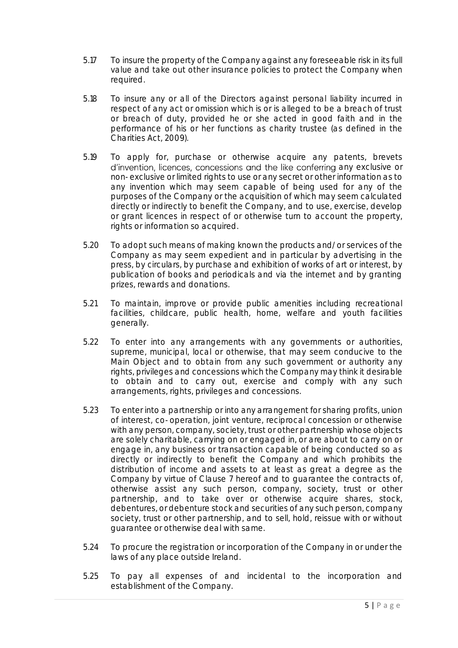- 5.17 To insure the property of the Company against any foreseeable risk in its full value and take out other insurance policies to protect the Company when required.
- 5.18 To insure any or all of the Directors against personal liability incurred in respect of any act or omission which is or is alleged to be a breach of trust or breach of duty, provided he or she acted in good faith and in the performance of his or her functions as charity trustee (as defined in the Charities Act, 2009).
- 5.19 To apply for, purchase or otherwise acquire any patents, brevets d'invention, licences, concessions and the like conferring any exclusive or non-exclusive or limited rights to use or any secret or other information as to any invention which may seem capable of being used for any of the purposes of the Company or the acquisition of which may seem calculated directly or indirectly to benefit the Company, and to use, exercise, develop or grant licences in respect of or otherwise turn to account the property, rights or information so acquired.
- 5.20 To adopt such means of making known the products and/or services of the Company as may seem expedient and in particular by advertising in the press, by circulars, by purchase and exhibition of works of art or interest, by publication of books and periodicals and via the internet and by granting prizes, rewards and donations.
- 5.21 To maintain, improve or provide public amenities including recreational facilities, childcare, public health, home, welfare and youth facilities generally.
- 5.22 To enter into any arrangements with any governments or authorities, supreme, municipal, local or otherwise, that may seem conducive to the Main Object and to obtain from any such government or authority any rights, privileges and concessions which the Company may think it desirable to obtain and to carry out, exercise and comply with any such arrangements, rights, privileges and concessions.
- 5.23 To enter into a partnership or into any arrangement for sharing profits, union of interest, co-operation, joint venture, reciprocal concession or otherwise with any person, company, society, trust or other partnership whose objects are solely charitable, carrying on or engaged in, or are about to carry on or engage in, any business or transaction capable of being conducted so as directly or indirectly to benefit the Company and which prohibits the distribution of income and assets to at least as great a degree as the Company by virtue of Clause 7 hereof and to quarantee the contracts of, otherwise assist any such person, company, society, trust or other partnership, and to take over or otherwise acquire shares, stock, debentures, or debenture stock and securities of any such person, company society, trust or other partnership, and to sell, hold, reissue with or without guarantee or otherwise deal with same.
- 5.24 To procure the registration or incorporation of the Company in or under the laws of any place outside Ireland.
- 5.25 To pay all expenses of and incidental to the incorporation and establishment of the Company.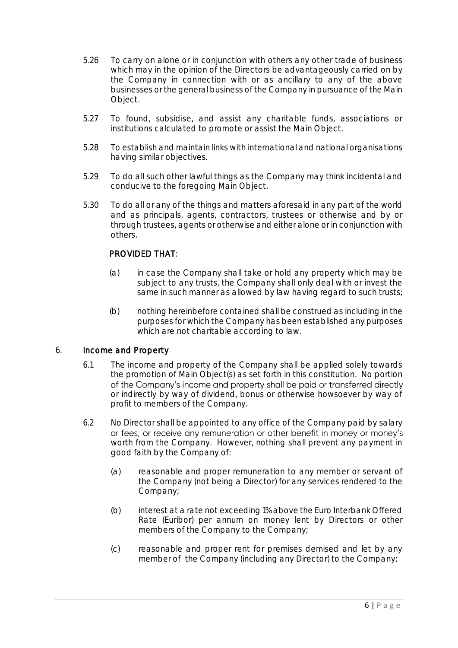- 5.26 To carry on alone or in conjunction with others any other trade of business which may in the opinion of the Directors be advantageously carried on by the Company in connection with or as ancillary to any of the above businesses or the general business of the Company in pursuance of the Main Object.
- 5.27 To found, subsidise, and assist any charitable funds, associations or institutions calculated to promote or assist the Main Object.
- 5.28 To establish and maintain links with international and national organisations having similar objectives.
- 5.29 To do all such other lawful things as the Company may think incidental and conducive to the foregoing Main Object.
- 5.30 To do all or any of the things and matters aforesaid in any part of the world and as principals, agents, contractors, trustees or otherwise and by or through trustees, agents or otherwise and either alone or in conjunction with others.

# PROVIDED THAT:

- (a) in case the Company shall take or hold any property which may be subject to any trusts, the Company shall only deal with or invest the same in such manner as allowed by law having regard to such trusts;
- (b) nothing hereinbefore contained shall be construed as including in the purposes for which the Company has been established any purposes which are not charitable according to law.

#### 6. Income and Property

- 6.1 The income and property of the Company shall be applied solely towards the promotion of Main Object(s) as set forth in this constitution. No portion of the Company's income and property shall be paid or transferred directly or indirectly by way of dividend, bonus or otherwise howsoever by way of profit to members of the Company.
- 6.2 No Director shall be appointed to any office of the Company paid by salary or fees, or receive any remuneration or other benefit in money or money's worth from the Company. However, nothing shall prevent any payment in good faith by the Company of:
	- (a) reasonable and proper remuneration to any member or servant of the Company (not being a Director) for any services rendered to the Company;
	- (b) interest at a rate not exceeding 1% above the Euro Interbank Offered Rate (Euribor) per annum on money lent by Directors or other members of the Company to the Company;
	- (c) reasonable and proper rent for premises demised and let by any member of the Company (including any Director) to the Company;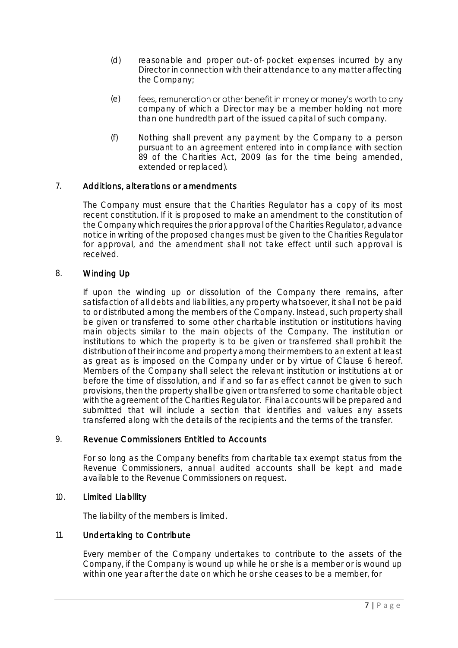- (d) reasonable and proper out-of-pocket expenses incurred by any Director in connection with their attendance to any matter affecting the Company;
- (e) fees, remuneration or other benefit in money or money's worth to any company of which a Director may be a member holding not more than one hundredth part of the issued capital of such company.
- (f) Nothing shall prevent any payment by the Company to a person pursuant to an agreement entered into in compliance with section 89 of the Charities Act, 2009 (as for the time being amended, extended or replaced).

# 7. Additions, alterations or amendments

The Company must ensure that the Charities Regulator has a copy of its most recent constitution. If it is proposed to make an amendment to the constitution of the Company which requires the prior approval of the Charities Regulator, advance notice in writing of the proposed changes must be given to the Charities Regulator for approval, and the amendment shall not take effect until such approval is received.

# 8. Winding Up

If upon the winding up or dissolution of the Company there remains, after satisfaction of all debts and liabilities, any property whatsoever, it shall not be paid to or distributed among the members of the Company. Instead, such property shall be given or transferred to some other charitable institution or institutions having main objects similar to the main objects of the Company. The institution or institutions to which the property is to be given or transferred shall prohibit the distribution of their income and property among their members to an extent at least as great as is imposed on the Company under or by virtue of Clause 6 hereof. Members of the Company shall select the relevant institution or institutions at or before the time of dissolution, and if and so far as effect cannot be given to such provisions, then the property shall be given or transferred to some charitable object with the agreement of the Charities Regulator. Final accounts will be prepared and submitted that will include a section that identifies and values any assets transferred along with the details of the recipients and the terms of the transfer.

# 9. Revenue Commissioners Entitled to Accounts

For so long as the Company benefits from charitable tax exempt status from the Revenue Commissioners, annual audited accounts shall be kept and made available to the Revenue Commissioners on request.

# 10. Limited Liability

The liability of the members is limited.

# 11. Undertaking to Contribute

Every member of the Company undertakes to contribute to the assets of the Company, if the Company is wound up while he or she is a member or is wound up within one year after the date on which he or she ceases to be a member, for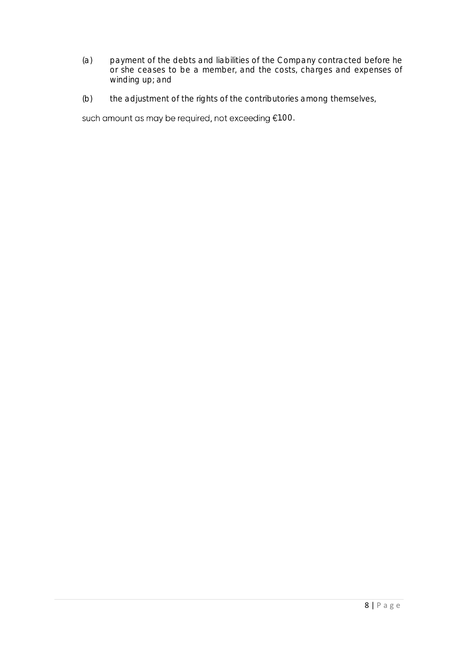- (a) payment of the debts and liabilities of the Company contracted before he or she ceases to be a member, and the costs, charges and expenses of winding up; and
- (b) the adjustment of the rights of the contributories among themselves,

such amount as may be required, not exceeding €1.00.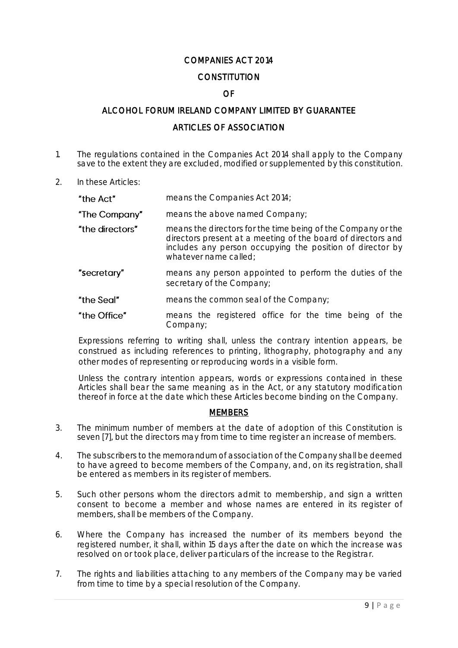# COMPANIES ACT 2014

# **CONSTITUTION**

# OF

## ALCOHOL FORUM IRELAND COMPANY LIMITED BY GUARANTEE

#### ARTICLES OF ASSOCIATION

- 1. The regulations contained in the Companies Act 2014 shall apply to the Company save to the extent they are excluded, modified or supplemented by this constitution.
- 2. In these Articles:

| "the Act"       | means the Companies Act 2014;                                                                                                                                                                                      |
|-----------------|--------------------------------------------------------------------------------------------------------------------------------------------------------------------------------------------------------------------|
| "The Company"   | means the above named Company;                                                                                                                                                                                     |
| "the directors" | means the directors for the time being of the Company or the<br>directors present at a meeting of the board of directors and<br>includes any person occupying the position of director by<br>whatever name called; |
| "secretary"     | means any person appointed to perform the duties of the<br>secretary of the Company;                                                                                                                               |
| "the Seal"      | means the common seal of the Company;                                                                                                                                                                              |
| "the Office"    | means the registered office for the time being of the<br>Company;                                                                                                                                                  |

Expressions referring to writing shall, unless the contrary intention appears, be construed as including references to printing, lithography, photography and any other modes of representing or reproducing words in a visible form.

Unless the contrary intention appears, words or expressions contained in these Articles shall bear the same meaning as in the Act, or any statutory modification thereof in force at the date which these Articles become binding on the Company.

#### **MEMBERS**

- 3. The minimum number of members at the date of adoption of this Constitution is seven [7], but the directors may from time to time register an increase of members.
- 4. The subscribers to the memorandum of association of the Company shall be deemed to have agreed to become members of the Company, and, on its registration, shall be entered as members in its register of members.
- 5. Such other persons whom the directors admit to membership, and sign a written consent to become a member and whose names are entered in its register of members, shall be members of the Company.
- 6. Where the Company has increased the number of its members beyond the registered number, it shall, within 15 days after the date on which the increase was resolved on or took place, deliver particulars of the increase to the Registrar.
- 7. The rights and liabilities attaching to any members of the Company may be varied from time to time by a special resolution of the Company.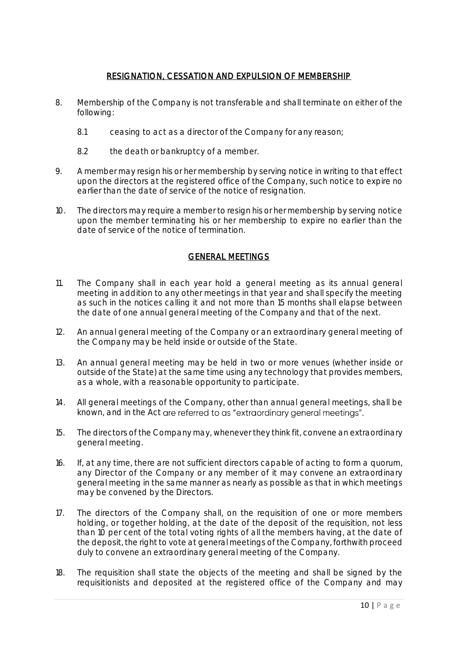# RESIGNATION, CESSATION AND EXPULSION OF MEMBERSHIP

- 8. Membership of the Company is not transferable and shall terminate on either of the following:
	- 8.1 ceasing to act as a director of the Company for any reason;
	- 8.2 the death or bankruptcy of a member.
- 9. A member may resign his or her membership by serving notice in writing to that effect upon the directors at the registered office of the Company, such notice to expire no earlier than the date of service of the notice of resignation.
- 10. The directors may require a member to resign his or her membership by serving notice upon the member terminating his or her membership to expire no earlier than the date of service of the notice of termination.

# GENERAL MEETINGS

- 11. The Company shall in each year hold a general meeting as its annual general meeting in addition to any other meetings in that year and shall specify the meeting as such in the notices calling it and not more than 15 months shall elapse between the date of one annual general meeting of the Company and that of the next.
- 12. An annual general meeting of the Company or an extraordinary general meeting of the Company may be held inside or outside of the State.
- 13. An annual general meeting may be held in two or more venues (whether inside or outside of the State) at the same time using any technology that provides members, as a whole, with a reasonable opportunity to participate.
- 14. All general meetings of the Company, other than annual general meetings, shall be known, and in the Act are referred to as "extraordinary general meetings".
- 15. The directors of the Company may, whenever they think fit, convene an extraordinary general meeting.
- 16. If, at any time, there are not sufficient directors capable of acting to form a quorum, any Director of the Company or any member of it may convene an extraordinary general meeting in the same manner as nearly as possible as that in which meetings may be convened by the Directors.
- 17. The directors of the Company shall, on the requisition of one or more members holding, or together holding, at the date of the deposit of the requisition, not less than 10 per cent of the total voting rights of all the members having, at the date of the deposit, the right to vote at general meetings of the Company, forthwith proceed duly to convene an extraordinary general meeting of the Company.
- 18. The requisition shall state the objects of the meeting and shall be signed by the requisitionists and deposited at the registered office of the Company and may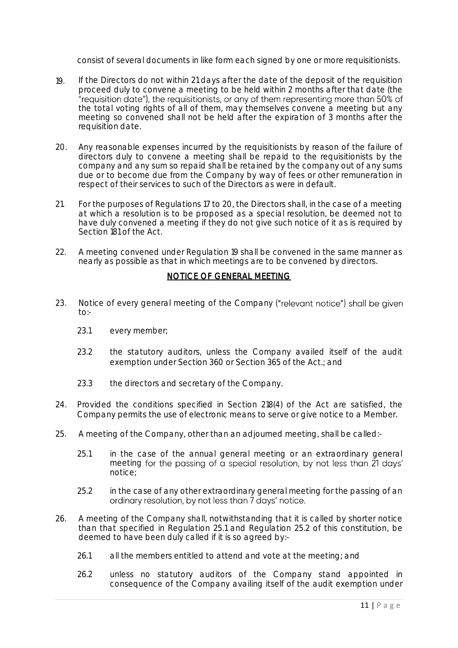consist of several documents in like form each signed by one or more requisitionists.

- 19. If the Directors do not within 21 days after the date of the deposit of the requisition proceed duly to convene a meeting to be held within 2 months after that date (the "requisition date"), the requisitionists, or any of them representing more than 50% of the total voting rights of all of them, may themselves convene a meeting but any meeting so convened shall not be held after the expiration of 3 months after the requisition date.
- 20. Any reasonable expenses incurred by the requisitionists by reason of the failure of directors duly to convene a meeting shall be repaid to the requisitionists by the company and any sum so repaid shall be retained by the company out of any sums due or to become due from the Company by way of fees or other remuneration in respect of their services to such of the Directors as were in default.
- 21. For the purposes of Regulations 17 to 20, the Directors shall, in the case of a meeting at which a resolution is to be proposed as a special resolution, be deemed not to have duly convened a meeting if they do not give such notice of it as is required by Section 181 of the Act.
- 22. A meeting convened under Regulation 19 shall be convened in the same manner as nearly as possible as that in which meetings are to be convened by directors.

## NOTICE OF GENERAL MEETING

- 23. Notice of every general meeting of the Company ("relevant notice") shall be given  $to:$ 
	- 23.1 every member;
	- 23.2 the statutory auditors, unless the Company availed itself of the audit exemption under Section 360 or Section 365 of the Act.; and
	- 23.3 the directors and secretary of the Company.
- 24. Provided the conditions specified in Section 218(4) of the Act are satisfied, the Company permits the use of electronic means to serve or give notice to a Member.
- 25. A meeting of the Company, other than an adjourned meeting, shall be called:-
	- 25.1 in the case of the annual general meeting or an extraordinary general meeting for the passing of a special resolution, by not less than 21 days' notice;
	- 25.2 in the case of any other extraordinary general meeting for the passing of an ordinary resolution, by not less than 7 days' notice.
- 26. A meeting of the Company shall, notwithstanding that it is called by shorter notice than that specified in Regulation 25.1 and Regulation 25.2 of this constitution, be deemed to have been duly called if it is so agreed by:-
	- 26.1 all the members entitled to attend and vote at the meeting; and
	- 26.2 unless no statutory auditors of the Company stand appointed in consequence of the Company availing itself of the audit exemption under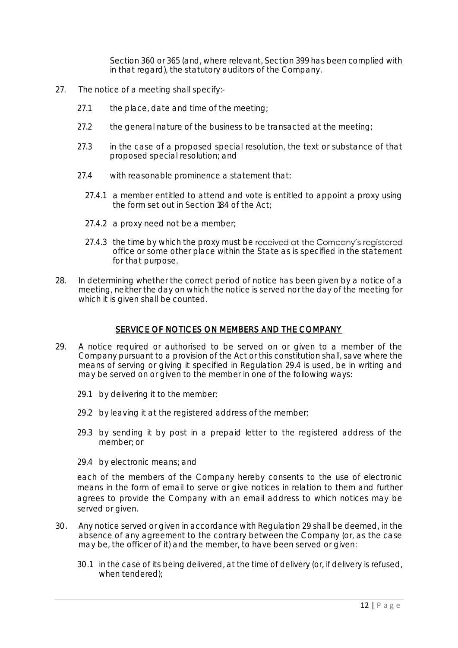Section 360 or 365 (and, where relevant, Section 399 has been complied with in that regard), the statutory auditors of the Company.

- 27. The notice of a meeting shall specify:-
	- 27.1 the place, date and time of the meeting;
	- 27.2 the general nature of the business to be transacted at the meeting;
	- 27.3 in the case of a proposed special resolution, the text or substance of that proposed special resolution; and
	- 27.4 with reasonable prominence a statement that:
		- 27.4.1 a member entitled to attend and vote is entitled to appoint a proxy using the form set out in Section 184 of the Act;
		- 27.4.2 a proxy need not be a member;
		- 27.4.3 the time by which the proxy must be received at the Company's registered office or some other place within the State as is specified in the statement for that purpose.
- 28. In determining whether the correct period of notice has been given by a notice of a meeting, neither the day on which the notice is served nor the day of the meeting for which it is given shall be counted.

#### SERVICE OF NOTICES ON MEMBERS AND THE COMPANY

- 29. A notice required or authorised to be served on or given to a member of the Company pursuant to a provision of the Act or this constitution shall, save where the means of serving or giving it specified in Regulation 29.4 is used, be in writing and may be served on or given to the member in one of the following ways:
	- 29.1 by delivering it to the member;
	- 29.2 by leaving it at the registered address of the member;
	- 29.3 by sending it by post in a prepaid letter to the registered address of the member; or
	- 29.4 by electronic means; and

each of the members of the Company hereby consents to the use of electronic means in the form of email to serve or give notices in relation to them and further agrees to provide the Company with an email address to which notices may be served or given.

- 30. Any notice served or given in accordance with Regulation 29 shall be deemed, in the absence of any agreement to the contrary between the Company (or, as the case may be, the officer of it) and the member, to have been served or given:
	- 30.1 in the case of its being delivered, at the time of delivery (or, if delivery is refused, when tendered);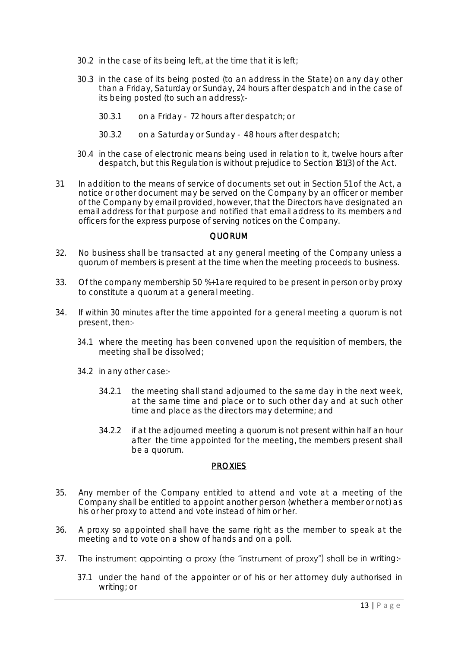- 30.2 in the case of its being left, at the time that it is left;
- 30.3 in the case of its being posted (to an address in the State) on any day other than a Friday, Saturday or Sunday, 24 hours after despatch and in the case of its being posted (to such an address):-
	- 30.3.1 on a Friday 72 hours after despatch; or
	- 30.3.2 on a Saturday or Sunday 48 hours after despatch;
- 30.4 in the case of electronic means being used in relation to it, twelve hours after despatch, but this Regulation is without prejudice to Section 181(3) of the Act.
- 31. In addition to the means of service of documents set out in Section 51 of the Act, a notice or other document may be served on the Company by an officer or member of the Company by email provided, however, that the Directors have designated an email address for that purpose and notified that email address to its members and officers for the express purpose of serving notices on the Company.

#### QUORUM

- 32. No business shall be transacted at any general meeting of the Company unless a quorum of members is present at the time when the meeting proceeds to business.
- 33. Of the company membership 50 %+1 are required to be present in person or by proxy to constitute a quorum at a general meeting.
- 34. If within 30 minutes after the time appointed for a general meeting a quorum is not present, then:-
	- 34.1 where the meeting has been convened upon the requisition of members, the meeting shall be dissolved;
	- 34.2 in any other case:-
		- 34.2.1 the meeting shall stand adjourned to the same day in the next week, at the same time and place or to such other day and at such other time and place as the directors may determine; and
		- 34.2.2 if at the adjourned meeting a quorum is not present within half an hour after the time appointed for the meeting, the members present shall be a quorum.

#### **PROXIES**

- 35. Any member of the Company entitled to attend and vote at a meeting of the Company shall be entitled to appoint another person (whether a member or not) as his or her proxy to attend and vote instead of him or her.
- 36. A proxy so appointed shall have the same right as the member to speak at the meeting and to vote on a show of hands and on a poll.
- 37. The instrument appointing a proxy (the "instrument of proxy") shall be in writing:-
	- 37.1 under the hand of the appointer or of his or her attorney duly authorised in writing; or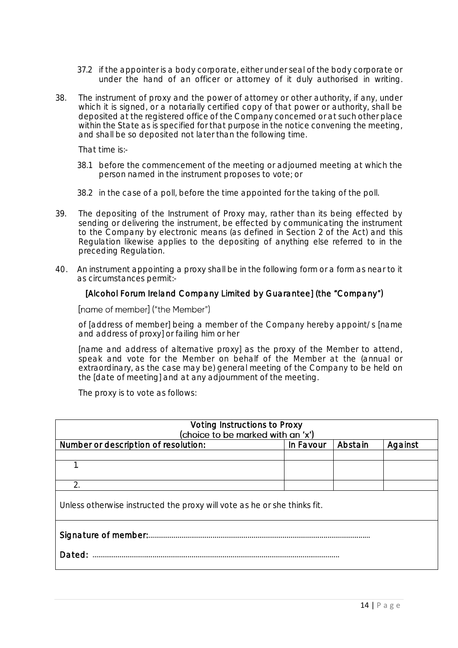- 37.2 if the appointer is a body corporate, either under seal of the body corporate or under the hand of an officer or attorney of it duly authorised in writing.
- 38. The instrument of proxy and the power of attorney or other authority, if any, under which it is signed, or a notarially certified copy of that power or authority, shall be deposited at the registered office of the Company concerned or at such other place within the State as is specified for that purpose in the notice convening the meeting, and shall be so deposited not later than the following time.

That time is:-

- 38.1 before the commencement of the meeting or adjourned meeting at which the person named in the instrument proposes to vote; or
- 38.2 in the case of a poll, before the time appointed for the taking of the poll.
- 39. The depositing of the Instrument of Proxy may, rather than its being effected by sending or delivering the instrument, be effected by communicating the instrument to the Company by electronic means (as defined in Section 2 of the Act) and this Regulation likewise applies to the depositing of anything else referred to in the preceding Regulation.
- 40. An instrument appointing a proxy shall be in the following form or a form as near to it as circumstances permit:-

## [Alcohol Forum Ireland Company Limited by Guarantee] (the "Company")

#### [name of member] ("the Member")

of [address of member] being a member of the Company hereby appoint/s [name and address of proxy] or failing him or her

[name and address of alternative proxy] as the proxy of the Member to attend, speak and vote for the Member on behalf of the Member at the (annual or extraordinary, as the case may be) general meeting of the Company to be held on the [date of meeting] and at any adjournment of the meeting.

The proxy is to vote as follows:

| Voting Instructions to Proxy<br>(choice to be marked with an 'x')        |           |         |         |
|--------------------------------------------------------------------------|-----------|---------|---------|
| Number or description of resolution:                                     | In Favour | Abstain | Against |
|                                                                          |           |         |         |
|                                                                          |           |         |         |
| $\mathcal{D}_{\cdot}$                                                    |           |         |         |
| Unless otherwise instructed the proxy will vote as he or she thinks fit. |           |         |         |
|                                                                          |           |         |         |
| Dated:                                                                   |           |         |         |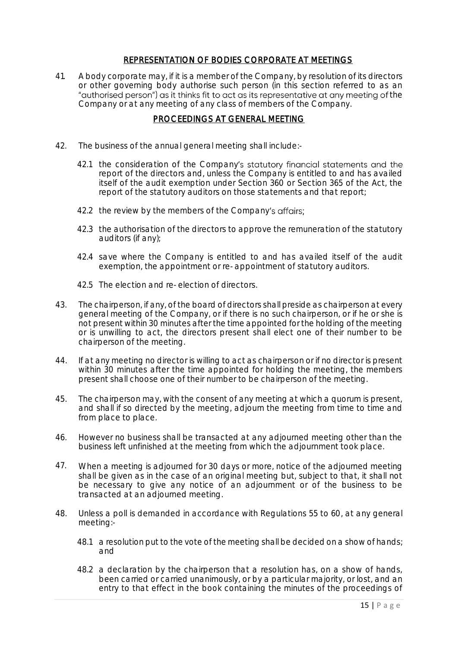## REPRESENTATION OF BODIES CORPORATE AT MEETINGS

41. A body corporate may, if it is a member of the Company, by resolution of its directors or other governing body authorise such person (in this section referred to as an "authorised person") as it thinks fit to act as its representative at any meeting of the Company or at any meeting of any class of members of the Company.

# PROCEEDINGS AT GENERAL MEETING

- 42. The business of the annual general meeting shall include:-
	- 42.1 the consideration of the Company's statutory financial statements and the report of the directors and, unless the Company is entitled to and has availed itself of the audit exemption under Section 360 or Section 365 of the Act, the report of the statutory auditors on those statements and that report;
	- 42.2 the review by the members of the Company's affairs;
	- 42.3 the authorisation of the directors to approve the remuneration of the statutory auditors (if any);
	- 42.4 save where the Company is entitled to and has availed itself of the audit exemption, the appointment or re-appointment of statutory auditors.
	- 42.5 The election and re-election of directors.
- 43. The chairperson, if any, of the board of directors shall preside as chairperson at every general meeting of the Company, or if there is no such chairperson, or if he or she is not present within 30 minutes after the time appointed for the holding of the meeting or is unwilling to act, the directors present shall elect one of their number to be chairperson of the meeting.
- 44. If at any meeting no director is willing to act as chairperson or if no director is present within 30 minutes after the time appointed for holding the meeting, the members present shall choose one of their number to be chairperson of the meeting.
- 45. The chairperson may, with the consent of any meeting at which a quorum is present, and shall if so directed by the meeting, adjourn the meeting from time to time and from place to place.
- 46. However no business shall be transacted at any adjourned meeting other than the business left unfinished at the meeting from which the adjournment took place.
- 47. When a meeting is adjourned for 30 days or more, notice of the adjourned meeting shall be given as in the case of an original meeting but, subject to that, it shall not be necessary to give any notice of an adjournment or of the business to be transacted at an adjourned meeting.
- 48. Unless a poll is demanded in accordance with Regulations 55 to 60, at any general meeting:-
	- 48.1 a resolution put to the vote of the meeting shall be decided on a show of hands; and
	- 48.2 a declaration by the chairperson that a resolution has, on a show of hands, been carried or carried unanimously, or by a particular majority, or lost, and an entry to that effect in the book containing the minutes of the proceedings of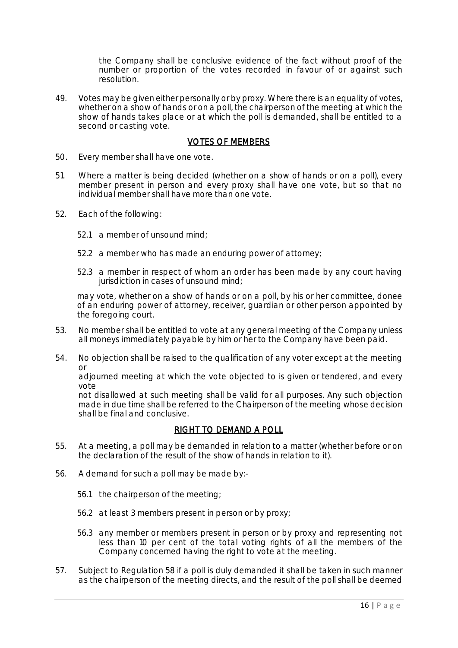the Company shall be conclusive evidence of the fact without proof of the number or proportion of the votes recorded in favour of or against such resolution.

49. Votes may be given either personally or by proxy. Where there is an equality of votes, whether on a show of hands or on a poll, the chairperson of the meeting at which the show of hands takes place or at which the poll is demanded, shall be entitled to a second or casting vote.

#### VOTES OF MEMBERS

- 50. Every member shall have one vote.
- 51. Where a matter is being decided (whether on a show of hands or on a poll), every member present in person and every proxy shall have one vote, but so that no individual member shall have more than one vote.
- 52. Each of the following:
	- 52.1 a member of unsound mind;
	- 52.2 a member who has made an enduring power of attorney;
	- 52.3 a member in respect of whom an order has been made by any court having jurisdiction in cases of unsound mind;

may vote, whether on a show of hands or on a poll, by his or her committee, donee of an enduring power of attorney, receiver, guardian or other person appointed by the foregoing court.

- 53. No member shall be entitled to vote at any general meeting of the Company unless all moneys immediately payable by him or her to the Company have been paid.
- 54. No objection shall be raised to the qualification of any voter except at the meeting or

adjourned meeting at which the vote objected to is given or tendered, and every vote

not disallowed at such meeting shall be valid for all purposes. Any such objection made in due time shall be referred to the Chairperson of the meeting whose decision shall be final and conclusive.

# RIGHT TO DEMAND A POLL

- 55. At a meeting, a poll may be demanded in relation to a matter (whether before or on the declaration of the result of the show of hands in relation to it).
- 56. A demand for such a poll may be made by:-
	- 56.1 the chairperson of the meeting;
	- 56.2 at least 3 members present in person or by proxy;
	- 56.3 any member or members present in person or by proxy and representing not less than 10 per cent of the total voting rights of all the members of the Company concerned having the right to vote at the meeting.
- 57. Subject to Regulation 58 if a poll is duly demanded it shall be taken in such manner as the chairperson of the meeting directs, and the result of the poll shall be deemed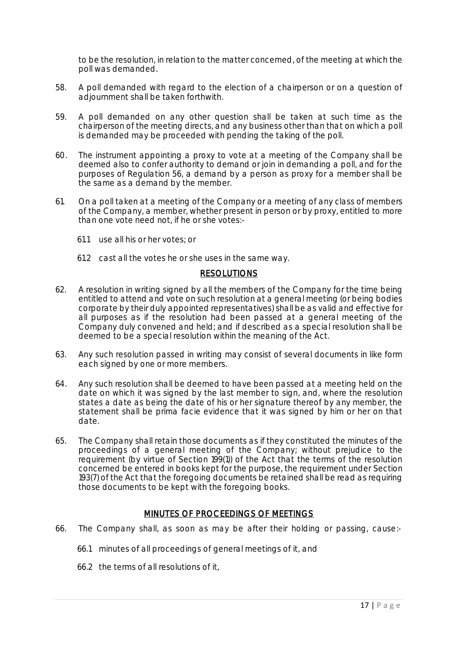to be the resolution, in relation to the matter concerned, of the meeting at which the poll was demanded.

- 58. A poll demanded with regard to the election of a chairperson or on a question of adjournment shall be taken forthwith.
- 59. A poll demanded on any other question shall be taken at such time as the chairperson of the meeting directs, and any business other than that on which a poll is demanded may be proceeded with pending the taking of the poll.
- 60. The instrument appointing a proxy to vote at a meeting of the Company shall be deemed also to confer authority to demand or join in demanding a poll, and for the purposes of Regulation 56, a demand by a person as proxy for a member shall be the same as a demand by the member.
- 61. On a poll taken at a meeting of the Company or a meeting of any class of members of the Company, a member, whether present in person or by proxy, entitled to more than one vote need not, if he or she votes:-
	- 61.1 use all his or her votes; or
	- 61.2 cast all the votes he or she uses in the same way.

## RESOLUTIONS

- 62. A resolution in writing signed by all the members of the Company for the time being entitled to attend and vote on such resolution at a general meeting (or being bodies corporate by their duly appointed representatives) shall be as valid and effective for all purposes as if the resolution had been passed at a general meeting of the Company duly convened and held; and if described as a special resolution shall be deemed to be a special resolution within the meaning of the Act.
- 63. Any such resolution passed in writing may consist of several documents in like form each signed by one or more members.
- 64. Any such resolution shall be deemed to have been passed at a meeting held on the date on which it was signed by the last member to sign, and, where the resolution states a date as being the date of his or her signature thereof by any member, the statement shall be prima facie evidence that it was signed by him or her on that date.
- 65. The Company shall retain those documents as if they constituted the minutes of the proceedings of a general meeting of the Company; without prejudice to the requirement (by virtue of Section 199(1)) of the Act that the terms of the resolution concerned be entered in books kept for the purpose, the requirement under Section 193(7) of the Act that the foregoing documents be retained shall be read as requiring those documents to be kept with the foregoing books.

# MINUTES OF PROCEEDINGS OF MEETINGS

- 66. The Company shall, as soon as may be after their holding or passing, cause:-
	- 66.1 minutes of all proceedings of general meetings of it, and
	- 66.2 the terms of all resolutions of it,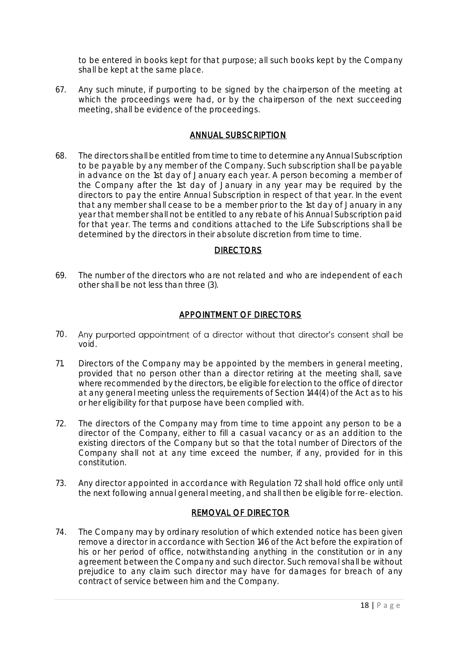to be entered in books kept for that purpose; all such books kept by the Company shall be kept at the same place.

67. Any such minute, if purporting to be signed by the chairperson of the meeting at which the proceedings were had, or by the chairperson of the next succeeding meeting, shall be evidence of the proceedings.

## ANNUAL SUBSCRIPTION

68. The directors shall be entitled from time to time to determine any Annual Subscription to be payable by any member of the Company. Such subscription shall be payable in advance on the 1st day of January each year. A person becoming a member of the Company after the 1st day of January in any year may be required by the directors to pay the entire Annual Subscription in respect of that year. In the event that any member shall cease to be a member prior to the 1st day of January in any year that member shall not be entitled to any rebate of his Annual Subscription paid for that year. The terms and conditions attached to the Life Subscriptions shall be determined by the directors in their absolute discretion from time to time.

## **DIRECTORS**

69. The number of the directors who are not related and who are independent of each other shall be not less than three (3).

# APPOINTMENT OF DIRECTORS

- 70. void.
- 71. Directors of the Company may be appointed by the members in general meeting, provided that no person other than a director retiring at the meeting shall, save where recommended by the directors, be eligible for election to the office of director at any general meeting unless the requirements of Section 144(4) of the Act as to his or her eligibility for that purpose have been complied with.
- 72. The directors of the Company may from time to time appoint any person to be a director of the Company, either to fill a casual vacancy or as an addition to the existing directors of the Company but so that the total number of Directors of the Company shall not at any time exceed the number, if any, provided for in this constitution.
- 73. Any director appointed in accordance with Regulation 72 shall hold office only until the next following annual general meeting, and shall then be eligible for re-election.

#### REMOVAL OF DIRECTOR

74. The Company may by ordinary resolution of which extended notice has been given remove a director in accordance with Section 146 of the Act before the expiration of his or her period of office, notwithstanding anything in the constitution or in any agreement between the Company and such director. Such removal shall be without prejudice to any claim such director may have for damages for breach of any contract of service between him and the Company.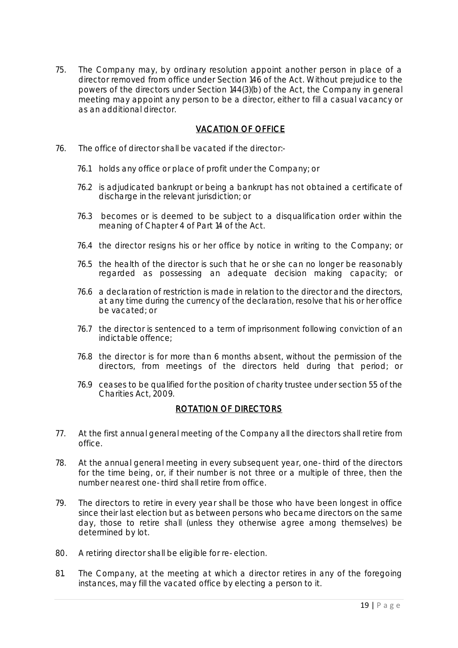75. The Company may, by ordinary resolution appoint another person in place of a director removed from office under Section 146 of the Act. Without prejudice to the powers of the directors under Section 144(3)(b) of the Act, the Company in general meeting may appoint any person to be a director, either to fill a casual vacancy or as an additional director.

# VACATION OF OFFICE

- 76. The office of director shall be vacated if the director:-
	- 76.1 holds any office or place of profit under the Company; or
	- 76.2 is adjudicated bankrupt or being a bankrupt has not obtained a certificate of discharge in the relevant jurisdiction; or
	- 76.3 becomes or is deemed to be subject to a disqualification order within the meaning of Chapter 4 of Part 14 of the Act.
	- 76.4 the director resigns his or her office by notice in writing to the Company; or
	- 76.5 the health of the director is such that he or she can no longer be reasonably regarded as possessing an adequate decision making capacity; or
	- 76.6 a declaration of restriction is made in relation to the director and the directors, at any time during the currency of the declaration, resolve that his or her office be vacated; or
	- 76.7 the director is sentenced to a term of imprisonment following conviction of an indictable offence;
	- 76.8 the director is for more than 6 months absent, without the permission of the directors, from meetings of the directors held during that period; or
	- 76.9 ceases to be qualified for the position of charity trustee under section 55 of the Charities Act, 2009.

#### ROTATION OF DIRECTORS

- 77. At the first annual general meeting of the Company all the directors shall retire from office.
- 78. At the annual general meeting in every subsequent year, one-third of the directors for the time being, or, if their number is not three or a multiple of three, then the number nearest one-third shall retire from office.
- 79. The directors to retire in every year shall be those who have been longest in office since their last election but as between persons who became directors on the same day, those to retire shall (unless they otherwise agree among themselves) be determined by lot.
- 80. A retiring director shall be eligible for re-election.
- 81. The Company, at the meeting at which a director retires in any of the foregoing instances, may fill the vacated office by electing a person to it.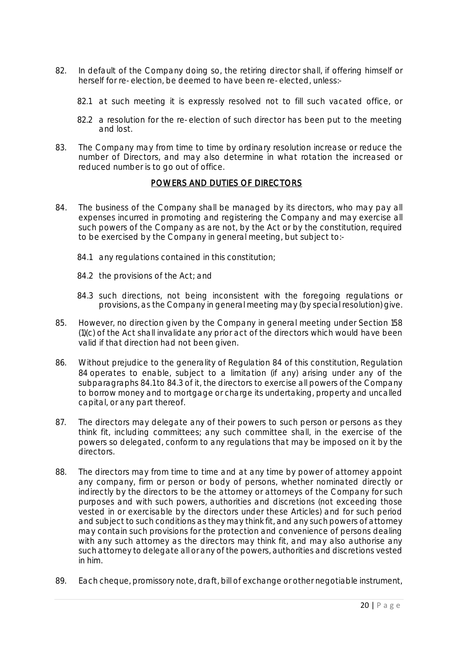- 82. In default of the Company doing so, the retiring director shall, if offering himself or herself for re-election, be deemed to have been re-elected, unless:-
	- 82.1 at such meeting it is expressly resolved not to fill such vacated office, or
	- 82.2 a resolution for the re-election of such director has been put to the meeting and lost.
- 83. The Company may from time to time by ordinary resolution increase or reduce the number of Directors, and may also determine in what rotation the increased or reduced number is to go out of office.

# POWERS AND DUTIES OF DIRECTORS

- 84. The business of the Company shall be managed by its directors, who may pay all expenses incurred in promoting and registering the Company and may exercise all such powers of the Company as are not, by the Act or by the constitution, required to be exercised by the Company in general meeting, but subject to:-
	- 84.1 any regulations contained in this constitution;
	- 84.2 the provisions of the Act; and
	- 84.3 such directions, not being inconsistent with the foregoing regulations or provisions, as the Company in general meeting may (by special resolution) give.
- 85. However, no direction given by the Company in general meeting under Section 158 (1)(c) of the Act shall invalidate any prior act of the directors which would have been valid if that direction had not been given.
- 86. Without prejudice to the generality of Regulation 84 of this constitution, Regulation 84 operates to enable, subject to a limitation (if any) arising under any of the subparagraphs 84.1 to 84.3 of it, the directors to exercise all powers of the Company to borrow money and to mortgage or charge its undertaking, property and uncalled capital, or any part thereof.
- 87. The directors may delegate any of their powers to such person or persons as they think fit, including committees; any such committee shall, in the exercise of the powers so delegated, conform to any regulations that may be imposed on it by the directors.
- 88. The directors may from time to time and at any time by power of attorney appoint any company, firm or person or body of persons, whether nominated directly or indirectly by the directors to be the attorney or attorneys of the Company for such purposes and with such powers, authorities and discretions (not exceeding those vested in or exercisable by the directors under these Articles) and for such period and subject to such conditions as they may think fit, and any such powers of attorney may contain such provisions for the protection and convenience of persons dealing with any such attorney as the directors may think fit, and may also authorise any such attorney to delegate all or any of the powers, authorities and discretions vested in him.
- 89. Each cheque, promissory note, draft, bill of exchange or other negotiable instrument,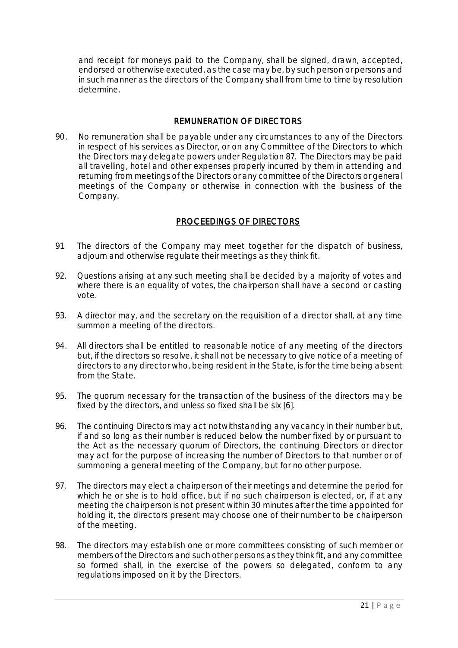and receipt for moneys paid to the Company, shall be signed, drawn, accepted, endorsed or otherwise executed, as the case may be, by such person or persons and in such manner as the directors of the Company shall from time to time by resolution determine.

# REMUNERATION OF DIRECTORS

90. No remuneration shall be payable under any circumstances to any of the Directors in respect of his services as Director, or on any Committee of the Directors to which the Directors may delegate powers under Regulation 87. The Directors may be paid all travelling, hotel and other expenses properly incurred by them in attending and returning from meetings of the Directors or any committee of the Directors or general meetings of the Company or otherwise in connection with the business of the Company.

# PROCEEDINGS OF DIRECTORS

- 91. The directors of the Company may meet together for the dispatch of business, adjourn and otherwise regulate their meetings as they think fit.
- 92. Questions arising at any such meeting shall be decided by a majority of votes and where there is an equality of votes, the chairperson shall have a second or casting vote.
- 93. A director may, and the secretary on the requisition of a director shall, at any time summon a meeting of the directors.
- 94. All directors shall be entitled to reasonable notice of any meeting of the directors but, if the directors so resolve, it shall not be necessary to give notice of a meeting of directors to any director who, being resident in the State, is for the time being absent from the State.
- 95. The quorum necessary for the transaction of the business of the directors may be fixed by the directors, and unless so fixed shall be six [6].
- 96. The continuing Directors may act notwithstanding any vacancy in their number but, if and so long as their number is reduced below the number fixed by or pursuant to the Act as the necessary quorum of Directors, the continuing Directors or director may act for the purpose of increasing the number of Directors to that number or of summoning a general meeting of the Company, but for no other purpose.
- 97. The directors may elect a chairperson of their meetings and determine the period for which he or she is to hold office, but if no such chairperson is elected, or, if at any meeting the chairperson is not present within 30 minutes after the time appointed for holding it, the directors present may choose one of their number to be chairperson of the meeting.
- 98. The directors may establish one or more committees consisting of such member or members of the Directors and such other persons as they think fit, and any committee so formed shall, in the exercise of the powers so delegated, conform to any regulations imposed on it by the Directors.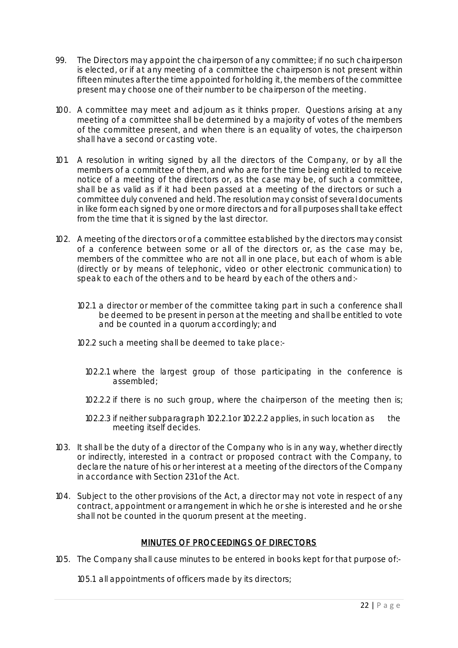- 99. The Directors may appoint the chairperson of any committee; if no such chairperson is elected, or if at any meeting of a committee the chairperson is not present within fifteen minutes after the time appointed for holding it, the members of the committee present may choose one of their number to be chairperson of the meeting.
- 100. A committee may meet and adjourn as it thinks proper. Questions arising at any meeting of a committee shall be determined by a majority of votes of the members of the committee present, and when there is an equality of votes, the chairperson shall have a second or casting vote.
- 101. A resolution in writing signed by all the directors of the Company, or by all the members of a committee of them, and who are for the time being entitled to receive notice of a meeting of the directors or, as the case may be, of such a committee, shall be as valid as if it had been passed at a meeting of the directors or such a committee duly convened and held. The resolution may consist of several documents in like form each signed by one or more directors and for all purposes shall take effect from the time that it is signed by the last director.
- 102. A meeting of the directors or of a committee established by the directors may consist of a conference between some or all of the directors or, as the case may be, members of the committee who are not all in one place, but each of whom is able (directly or by means of telephonic, video or other electronic communication) to speak to each of the others and to be heard by each of the others and:-
	- 102.1 a director or member of the committee taking part in such a conference shall be deemed to be present in person at the meeting and shall be entitled to vote and be counted in a quorum accordingly; and
	- 102.2 such a meeting shall be deemed to take place:-
		- 102.2.1 where the largest group of those participating in the conference is assembled;
		- 102.2.2 if there is no such group, where the chairperson of the meeting then is;
		- 102.2.3 if neither subparagraph 102.2.1 or 102.2.2 applies, in such location as the meeting itself decides.
- 103. It shall be the duty of a director of the Company who is in any way, whether directly or indirectly, interested in a contract or proposed contract with the Company, to declare the nature of his or her interest at a meeting of the directors of the Company in accordance with Section 231 of the Act.
- 104. Subject to the other provisions of the Act, a director may not vote in respect of any contract, appointment or arrangement in which he or she is interested and he or she shall not be counted in the quorum present at the meeting.

# MINUTES OF PROCEEDINGS OF DIRECTORS

105. The Company shall cause minutes to be entered in books kept for that purpose of:-

105.1 all appointments of officers made by its directors;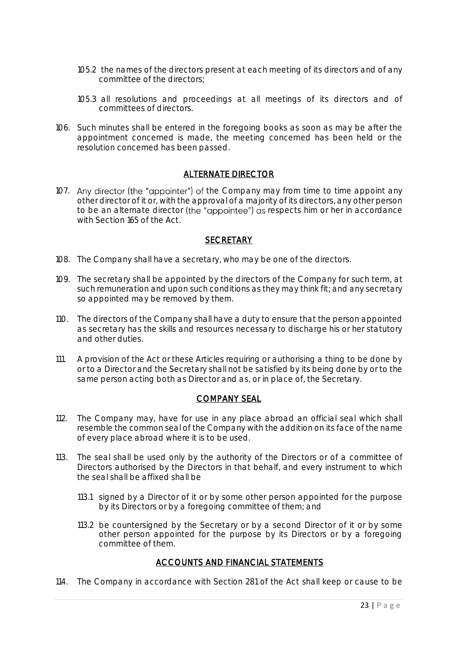- 105.2 the names of the directors present at each meeting of its directors and of any committee of the directors;
- 105.3 all resolutions and proceedings at all meetings of its directors and of committees of directors.
- 106. Such minutes shall be entered in the foregoing books as soon as may be after the appointment concerned is made, the meeting concerned has been held or the resolution concerned has been passed.

# ALTERNATE DIRECTOR

107. Any director (the "appointer") of the Company may from time to time appoint any other director of it or, with the approval of a majority of its directors, any other person to be an alternate director (the "appointee") as respects him or her in accordance with Section 165 of the Act.

#### **SECRETARY**

- 108. The Company shall have a secretary, who may be one of the directors.
- 109. The secretary shall be appointed by the directors of the Company for such term, at such remuneration and upon such conditions as they may think fit; and any secretary so appointed may be removed by them.
- 110. The directors of the Company shall have a duty to ensure that the person appointed as secretary has the skills and resources necessary to discharge his or her statutory and other duties.
- 111. A provision of the Act or these Articles requiring or authorising a thing to be done by or to a Director and the Secretary shall not be satisfied by its being done by or to the same person acting both as Director and as, or in place of, the Secretary.

# COMPANY SEAL

- 112. The Company may, have for use in any place abroad an official seal which shall resemble the common seal of the Company with the addition on its face of the name of every place abroad where it is to be used.
- 113. The seal shall be used only by the authority of the Directors or of a committee of Directors authorised by the Directors in that behalf, and every instrument to which the seal shall be affixed shall be
	- 113.1 signed by a Director of it or by some other person appointed for the purpose by its Directors or by a foregoing committee of them; and
	- 113.2 be countersigned by the Secretary or by a second Director of it or by some other person appointed for the purpose by its Directors or by a foregoing committee of them.

# ACCOUNTS AND FINANCIAL STATEMENTS

114. The Company in accordance with Section 281 of the Act shall keep or cause to be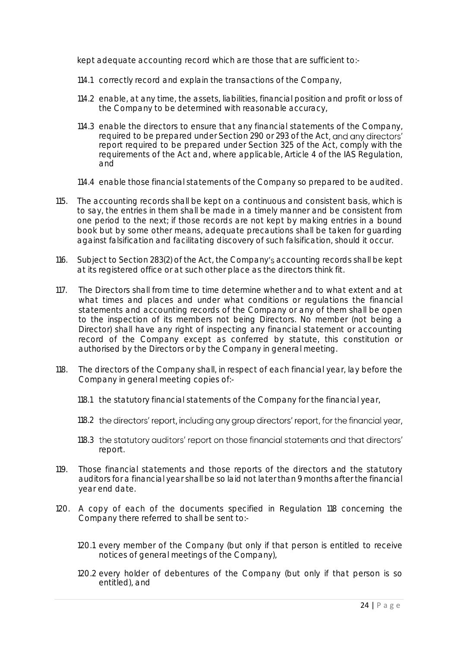kept adequate accounting record which are those that are sufficient to:-

- 114.1 correctly record and explain the transactions of the Company,
- 114.2 enable, at any time, the assets, liabilities, financial position and profit or loss of the Company to be determined with reasonable accuracy,
- 114.3 enable the directors to ensure that any financial statements of the Company, required to be prepared under Section 290 or 293 of the Act, and any directors' report required to be prepared under Section 325 of the Act, comply with the requirements of the Act and, where applicable, Article 4 of the IAS Regulation, and
- 114.4 enable those financial statements of the Company so prepared to be audited.
- 115. The accounting records shall be kept on a continuous and consistent basis, which is to say, the entries in them shall be made in a timely manner and be consistent from one period to the next; if those records are not kept by making entries in a bound book but by some other means, adequate precautions shall be taken for guarding against falsification and facilitating discovery of such falsification, should it occur.
- 116. Subject to Section 283(2) of the Act, the Company's accounting records shall be kept at its registered office or at such other place as the directors think fit.
- 117. The Directors shall from time to time determine whether and to what extent and at what times and places and under what conditions or regulations the financial statements and accounting records of the Company or any of them shall be open to the inspection of its members not being Directors. No member (not being a Director) shall have any right of inspecting any financial statement or accounting record of the Company except as conferred by statute, this constitution or authorised by the Directors or by the Company in general meeting.
- 118. The directors of the Company shall, in respect of each financial year, lay before the Company in general meeting copies of:-
	- 118.1 the statutory financial statements of the Company for the financial year,
	- 118.2 the directors' report, including any group directors' report, for the financial year,
	- 118.3 the statutory auditors' report on those financial statements and that directors' report.
- 119. Those financial statements and those reports of the directors and the statutory auditors for a financial year shall be so laid not later than 9 months after the financial year end date.
- 120. A copy of each of the documents specified in Regulation 118 concerning the Company there referred to shall be sent to:-
	- 120.1 every member of the Company (but only if that person is entitled to receive notices of general meetings of the Company),
	- 120.2 every holder of debentures of the Company (but only if that person is so entitled), and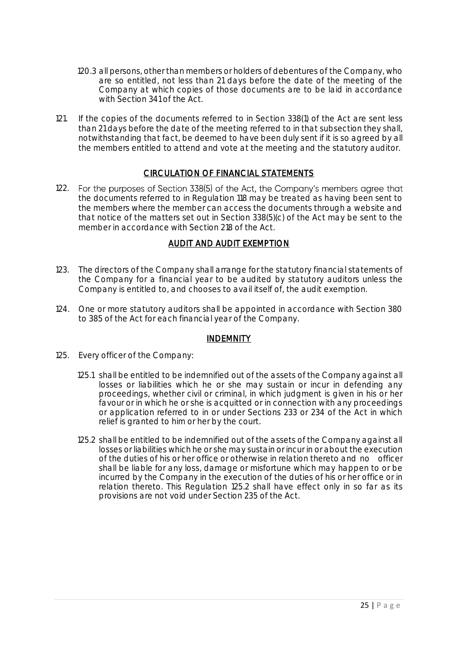- 120.3 all persons, other than members or holders of debentures of the Company, who are so entitled, not less than 21 days before the date of the meeting of the Company at which copies of those documents are to be laid in accordance with Section 341 of the Act.
- 121. If the copies of the documents referred to in Section 338(1) of the Act are sent less than 21 days before the date of the meeting referred to in that subsection they shall, notwithstanding that fact, be deemed to have been duly sent if it is so agreed by all the members entitled to attend and vote at the meeting and the statutory auditor.

# CIRCULATION OF FINANCIAL STATEMENTS

122. For the purposes of Section 338(5) of the Act, the Company's members agree that the documents referred to in Regulation 118 may be treated as having been sent to the members where the member can access the documents through a website and that notice of the matters set out in Section 338(5)(c) of the Act may be sent to the member in accordance with Section 218 of the Act.

# AUDIT AND AUDIT EXEMPTION

- 123. The directors of the Company shall arrange for the statutory financial statements of the Company for a financial year to be audited by statutory auditors unless the Company is entitled to, and chooses to avail itself of, the audit exemption.
- 124. One or more statutory auditors shall be appointed in accordance with Section 380 to 385 of the Act for each financial year of the Company.

# INDEMNITY

- 125. Every officer of the Company:
	- 125.1 shall be entitled to be indemnified out of the assets of the Company against all losses or liabilities which he or she may sustain or incur in defending any proceedings, whether civil or criminal, in which judgment is given in his or her favour or in which he or she is acquitted or in connection with any proceedings or application referred to in or under Sections 233 or 234 of the Act in which relief is granted to him or her by the court.
	- 125.2 shall be entitled to be indemnified out of the assets of the Company against all losses or liabilities which he or she may sustain or incur in or about the execution of the duties of his or her office or otherwise in relation thereto and no officer shall be liable for any loss, damage or misfortune which may happen to or be incurred by the Company in the execution of the duties of his or her office or in relation thereto. This Regulation 125.2 shall have effect only in so far as its provisions are not void under Section 235 of the Act.